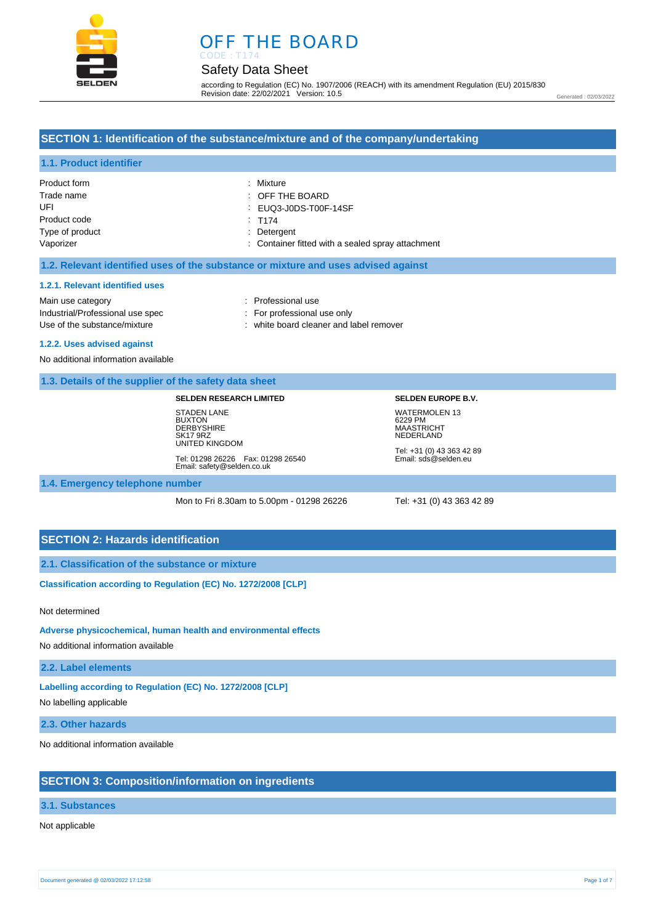

# OFF THE BOARD

# Safety Data Sheet

CODE : T174

according to Regulation (EC) No. 1907/2006 (REACH) with its amendment Regulation (EU) 2015/830 Revision date: 22/02/2021 Version: 10.5

Generated : 02/03/2022

# **SECTION 1: Identification of the substance/mixture and of the company/undertaking**

### **1.1. Product identifier**

| Product form    | : Mixture                                         |
|-----------------|---------------------------------------------------|
| Trade name      | $\therefore$ OFF THE BOARD                        |
| UFI             | : EUQ3-J0DS-T00F-14SF                             |
| Product code    | T174                                              |
| Type of product | : Detergent                                       |
| Vaporizer       | : Container fitted with a sealed spray attachment |

### **1.2. Relevant identified uses of the substance or mixture and uses advised against**

#### **1.2.1. Relevant identified uses**

Main use category **interest and the COV** and the Professional use Industrial/Professional use spec : For professional use only Use of the substance/mixture in the substance of the substance of the substance of the substance of the substance of the substance of the substance/mixture in the substance of the substance of the substance of the substanc

- 
- 

# **1.2.2. Uses advised against**

No additional information available

### **1.3. Details of the supplier of the safety data sheet**

#### **SELDEN RESEARCH LIMITED**

STADEN LANE **BUXTON DERBYSHIRE** SK17 9RZ UNITED KINGDOM Tel: 01298 26226 Fax: 01298 26540 Email: safety@selden.co.uk

# **SELDEN EUROPE B.V.** WATERMOLEN 13 6229 PM MAASTRICHT NEDERLAND

Tel: +31 (0) 43 363 42 89 Email: sds@selden.eu

**1.4. Emergency telephone number**

Mon to Fri 8.30am to 5.00pm - 01298 26226 Tel: +31 (0) 43 363 42 89

### **SECTION 2: Hazards identification**

**2.1. Classification of the substance or mixture**

**Classification according to Regulation (EC) No. 1272/2008 [CLP]** 

#### Not determined

#### **Adverse physicochemical, human health and environmental effects**

No additional information available

**2.2. Label elements**

**Labelling according to Regulation (EC) No. 1272/2008 [CLP]** 

No labelling applicable

**2.3. Other hazards**

No additional information available

### **SECTION 3: Composition/information on ingredients**

### **3.1. Substances**

#### Not applicable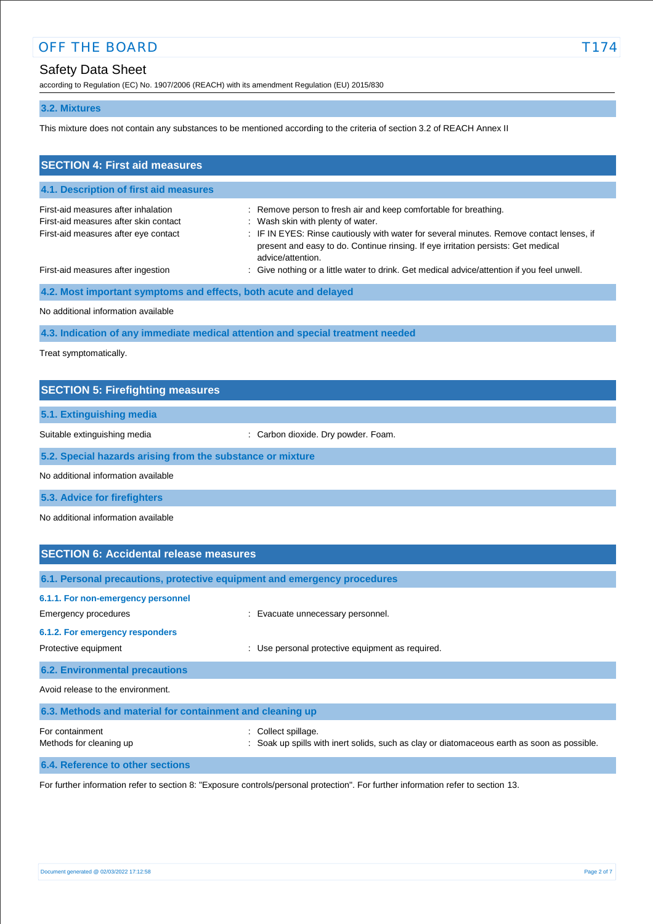according to Regulation (EC) No. 1907/2006 (REACH) with its amendment Regulation (EU) 2015/830

### **3.2. Mixtures**

This mixture does not contain any substances to be mentioned according to the criteria of section 3.2 of REACH Annex II

| <b>SECTION 4: First aid measures</b>                                                                                 |                                                                                                                                                                                                                                                                                                             |
|----------------------------------------------------------------------------------------------------------------------|-------------------------------------------------------------------------------------------------------------------------------------------------------------------------------------------------------------------------------------------------------------------------------------------------------------|
| 4.1. Description of first aid measures                                                                               |                                                                                                                                                                                                                                                                                                             |
| First-aid measures after inhalation<br>First-aid measures after skin contact<br>First-aid measures after eye contact | : Remove person to fresh air and keep comfortable for breathing.<br>: Wash skin with plenty of water.<br>: IF IN EYES: Rinse cautiously with water for several minutes. Remove contact lenses, if<br>present and easy to do. Continue rinsing. If eye irritation persists: Get medical<br>advice/attention. |
| First-aid measures after ingestion                                                                                   | : Give nothing or a little water to drink. Get medical advice/attention if you feel unwell.                                                                                                                                                                                                                 |
| 4.2. Most important symptoms and effects, both acute and delayed                                                     |                                                                                                                                                                                                                                                                                                             |
| No additional information available                                                                                  |                                                                                                                                                                                                                                                                                                             |
| 4.3. Indication of any immediate medical attention and special treatment needed                                      |                                                                                                                                                                                                                                                                                                             |
| Treat symptomatically.                                                                                               |                                                                                                                                                                                                                                                                                                             |

| <b>SECTION 5: Firefighting measures</b>                    |                                     |
|------------------------------------------------------------|-------------------------------------|
| 5.1. Extinguishing media                                   |                                     |
| Suitable extinguishing media                               | : Carbon dioxide. Dry powder. Foam. |
|                                                            |                                     |
| 5.2. Special hazards arising from the substance or mixture |                                     |
| No additional information available                        |                                     |
|                                                            |                                     |

**5.3. Advice for firefighters**

No additional information available

| <b>SECTION 6: Accidental release measures</b>                              |                                                                                                                  |
|----------------------------------------------------------------------------|------------------------------------------------------------------------------------------------------------------|
| 6.1. Personal precautions, protective equipment and emergency procedures   |                                                                                                                  |
| 6.1.1. For non-emergency personnel<br>Emergency procedures                 | : Evacuate unnecessary personnel.                                                                                |
| 6.1.2. For emergency responders<br>Protective equipment                    | Use personal protective equipment as required.<br>÷                                                              |
| <b>6.2. Environmental precautions</b><br>Avoid release to the environment. |                                                                                                                  |
| 6.3. Methods and material for containment and cleaning up                  |                                                                                                                  |
| For containment<br>Methods for cleaning up                                 | : Collect spillage.<br>Soak up spills with inert solids, such as clay or diatomaceous earth as soon as possible. |

**6.4. Reference to other sections**

For further information refer to section 8: "Exposure controls/personal protection". For further information refer to section 13.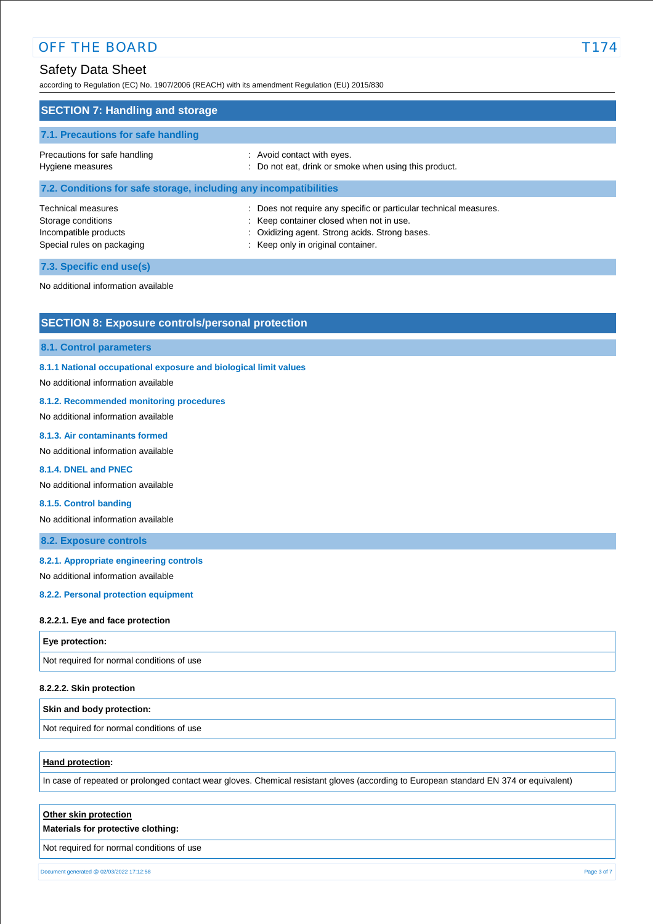# Safety Data Sheet

according to Regulation (EC) No. 1907/2006 (REACH) with its amendment Regulation (EU) 2015/830

| <b>SECTION 7: Handling and storage</b>                                                                 |                                                                                                                                                                                                     |
|--------------------------------------------------------------------------------------------------------|-----------------------------------------------------------------------------------------------------------------------------------------------------------------------------------------------------|
| 7.1. Precautions for safe handling                                                                     |                                                                                                                                                                                                     |
| Precautions for safe handling<br>Hygiene measures                                                      | : Avoid contact with eyes.<br>: Do not eat, drink or smoke when using this product.                                                                                                                 |
| 7.2. Conditions for safe storage, including any incompatibilities                                      |                                                                                                                                                                                                     |
| <b>Technical measures</b><br>Storage conditions<br>Incompatible products<br>Special rules on packaging | Does not require any specific or particular technical measures.<br>: Keep container closed when not in use.<br>: Oxidizing agent. Strong acids. Strong bases.<br>: Keep only in original container. |
| 7.3. Specific end use(s)                                                                               |                                                                                                                                                                                                     |

No additional information available

# **SECTION 8: Exposure controls/personal protection**

#### **8.1. Control parameters**

### **8.1.1 National occupational exposure and biological limit values**

No additional information available

# **8.1.2. Recommended monitoring procedures**

No additional information available

#### **8.1.3. Air contaminants formed**

No additional information available

# **8.1.4. DNEL and PNEC**

No additional information available

#### **8.1.5. Control banding**

No additional information available

### **8.2. Exposure controls**

### **8.2.1. Appropriate engineering controls**

No additional information available

### **8.2.2. Personal protection equipment**

#### **8.2.2.1. Eye and face protection**

### **Eye protection:**

Not required for normal conditions of use

### **8.2.2.2. Skin protection**

### **Skin and body protection:**

Not required for normal conditions of use

# **Hand protection:**

In case of repeated or prolonged contact wear gloves. Chemical resistant gloves (according to European standard EN 374 or equivalent)

| Other skin protection                     |  |
|-------------------------------------------|--|
| Materials for protective clothing:        |  |
| Not required for normal conditions of use |  |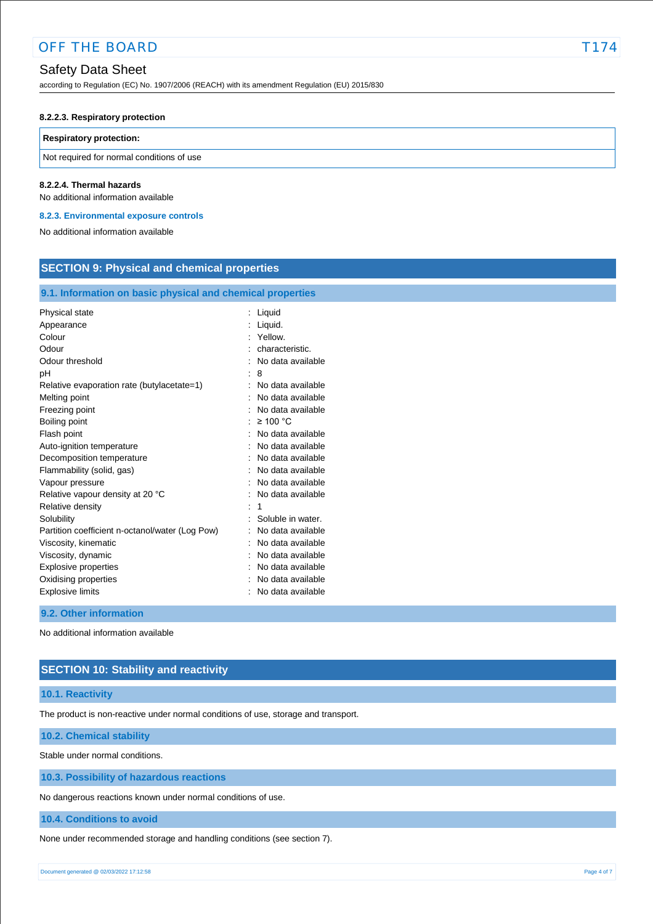# Safety Data Sheet

according to Regulation (EC) No. 1907/2006 (REACH) with its amendment Regulation (EU) 2015/830

### **8.2.2.3. Respiratory protection**

### **Respiratory protection:**

Not required for normal conditions of use

#### **8.2.2.4. Thermal hazards**

No additional information available

#### **8.2.3. Environmental exposure controls**

No additional information available

| <b>SECTION 9: Physical and chemical properties</b>                                |                                        |
|-----------------------------------------------------------------------------------|----------------------------------------|
| 9.1. Information on basic physical and chemical properties                        |                                        |
| Physical state                                                                    | Liquid                                 |
| Appearance                                                                        | Liquid.                                |
| Colour                                                                            | Yellow.                                |
| Odour                                                                             | characteristic.                        |
| Odour threshold                                                                   | No data available                      |
| рH                                                                                | 8                                      |
| Relative evaporation rate (butylacetate=1)                                        | No data available                      |
| Melting point                                                                     | No data available                      |
| Freezing point                                                                    | No data available                      |
| Boiling point                                                                     | $\geq 100$ °C                          |
| Flash point                                                                       | No data available                      |
| Auto-ignition temperature                                                         | No data available                      |
| Decomposition temperature                                                         | No data available                      |
| Flammability (solid, gas)                                                         | No data available                      |
| Vapour pressure                                                                   | No data available                      |
| Relative vapour density at 20 °C                                                  | No data available                      |
| Relative density<br>Solubility<br>Partition coefficient n-octanol/water (Log Pow) | Soluble in water.<br>No data available |
| Viscosity, kinematic                                                              | No data available                      |
| Viscosity, dynamic                                                                | No data available                      |
| Explosive properties                                                              | No data available                      |
| Oxidising properties                                                              | No data available                      |
| <b>Explosive limits</b>                                                           | No data available                      |

### **9.2. Other information**

No additional information available

# **SECTION 10: Stability and reactivity**

### **10.1. Reactivity**

The product is non-reactive under normal conditions of use, storage and transport.

### **10.2. Chemical stability**

Stable under normal conditions.

**10.3. Possibility of hazardous reactions**

No dangerous reactions known under normal conditions of use.

**10.4. Conditions to avoid**

None under recommended storage and handling conditions (see section 7).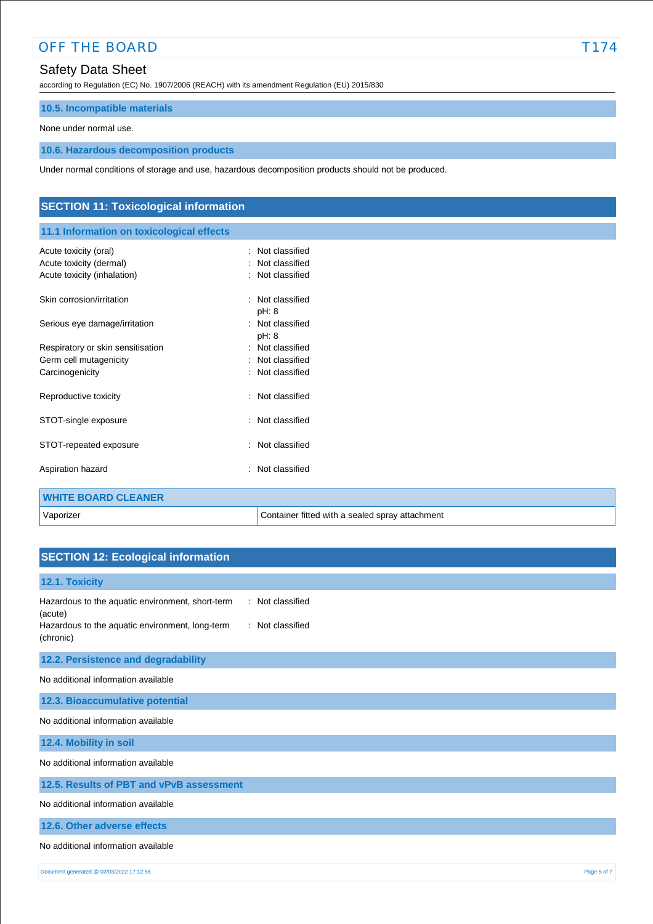# OFF THE BOARD T174

# Safety Data Sheet

according to Regulation (EC) No. 1907/2006 (REACH) with its amendment Regulation (EU) 2015/830

# **10.5. Incompatible materials**

None under normal use.

# **10.6. Hazardous decomposition products**

Under normal conditions of storage and use, hazardous decomposition products should not be produced.

| <b>SECTION 11: Toxicological information</b> |                                                 |
|----------------------------------------------|-------------------------------------------------|
| 11.1 Information on toxicological effects    |                                                 |
| Acute toxicity (oral)                        | : Not classified                                |
| Acute toxicity (dermal)                      | Not classified                                  |
| Acute toxicity (inhalation)                  | Not classified<br>$\overline{\phantom{a}}$      |
| Skin corrosion/irritation                    | Not classified<br>$\ddot{\phantom{a}}$<br>pH: 8 |
| Serious eye damage/irritation                | Not classified<br>$\cdot$<br>pH: 8              |
| Respiratory or skin sensitisation            | Not classified<br>$\blacksquare$                |
| Germ cell mutagenicity                       | Not classified                                  |
| Carcinogenicity                              | Not classified<br>٠                             |
| Reproductive toxicity                        | Not classified<br>$\overline{\phantom{a}}$      |
| STOT-single exposure                         | Not classified<br>٠                             |
| STOT-repeated exposure                       | Not classified<br>÷                             |
| Aspiration hazard                            | Not classified<br>٠                             |
| <b>WHITE BOARD CLEANER</b>                   |                                                 |
| Vaporizer                                    | Container fitted with a sealed spray attachment |

# **SECTION 12: Ecological information**

| 12.1. Toxicity                                                                                                              |                                      |
|-----------------------------------------------------------------------------------------------------------------------------|--------------------------------------|
| Hazardous to the aquatic environment, short-term<br>(acute)<br>Hazardous to the aquatic environment, long-term<br>(chronic) | : Not classified<br>: Not classified |
| 12.2. Persistence and degradability                                                                                         |                                      |
| No additional information available                                                                                         |                                      |
| 12.3. Bioaccumulative potential                                                                                             |                                      |
| No additional information available                                                                                         |                                      |
| 12.4. Mobility in soil                                                                                                      |                                      |
| No additional information available                                                                                         |                                      |
| 12.5. Results of PBT and vPvB assessment                                                                                    |                                      |
| No additional information available                                                                                         |                                      |
| 12.6. Other adverse effects                                                                                                 |                                      |
| No additional information available                                                                                         |                                      |
| Document generated @ 02/03/2022 17:12:58                                                                                    | Page 5 of 7                          |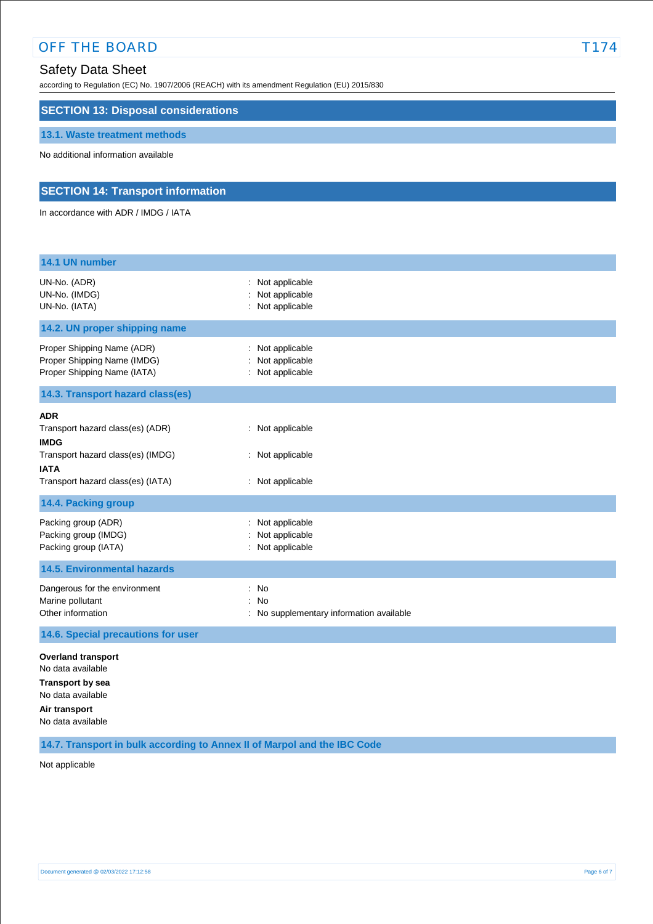# OFF THE BOARD T174

# Safety Data Sheet

according to Regulation (EC) No. 1907/2006 (REACH) with its amendment Regulation (EU) 2015/830

# **SECTION 13: Disposal considerations**

### **13.1. Waste treatment methods**

No additional information available

# **SECTION 14: Transport information**

In accordance with ADR / IMDG / IATA

| 14.1 UN number                                                                                                                                         |                                                                                 |
|--------------------------------------------------------------------------------------------------------------------------------------------------------|---------------------------------------------------------------------------------|
| UN-No. (ADR)<br>UN-No. (IMDG)<br>UN-No. (IATA)                                                                                                         | Not applicable<br>Not applicable<br>Not applicable                              |
| 14.2. UN proper shipping name                                                                                                                          |                                                                                 |
| Proper Shipping Name (ADR)<br>Proper Shipping Name (IMDG)<br>Proper Shipping Name (IATA)                                                               | Not applicable<br>Not applicable<br>Not applicable                              |
| 14.3. Transport hazard class(es)                                                                                                                       |                                                                                 |
| <b>ADR</b><br>Transport hazard class(es) (ADR)<br><b>IMDG</b><br>Transport hazard class(es) (IMDG)<br><b>IATA</b><br>Transport hazard class(es) (IATA) | : Not applicable<br>: Not applicable<br>: Not applicable                        |
| 14.4. Packing group                                                                                                                                    |                                                                                 |
| Packing group (ADR)<br>Packing group (IMDG)<br>Packing group (IATA)                                                                                    | Not applicable<br>Not applicable<br>Not applicable                              |
| <b>14.5. Environmental hazards</b>                                                                                                                     |                                                                                 |
| Dangerous for the environment<br>Marine pollutant<br>Other information                                                                                 | No<br>$\ddot{\phantom{a}}$<br>No<br>÷<br>No supplementary information available |
| 14.6. Special precautions for user                                                                                                                     |                                                                                 |
| <b>Overland transport</b><br>No data available<br><b>Transport by sea</b><br>No data available<br>Air transport<br>No data available                   |                                                                                 |

**14.7. Transport in bulk according to Annex II of Marpol and the IBC Code**

Not applicable